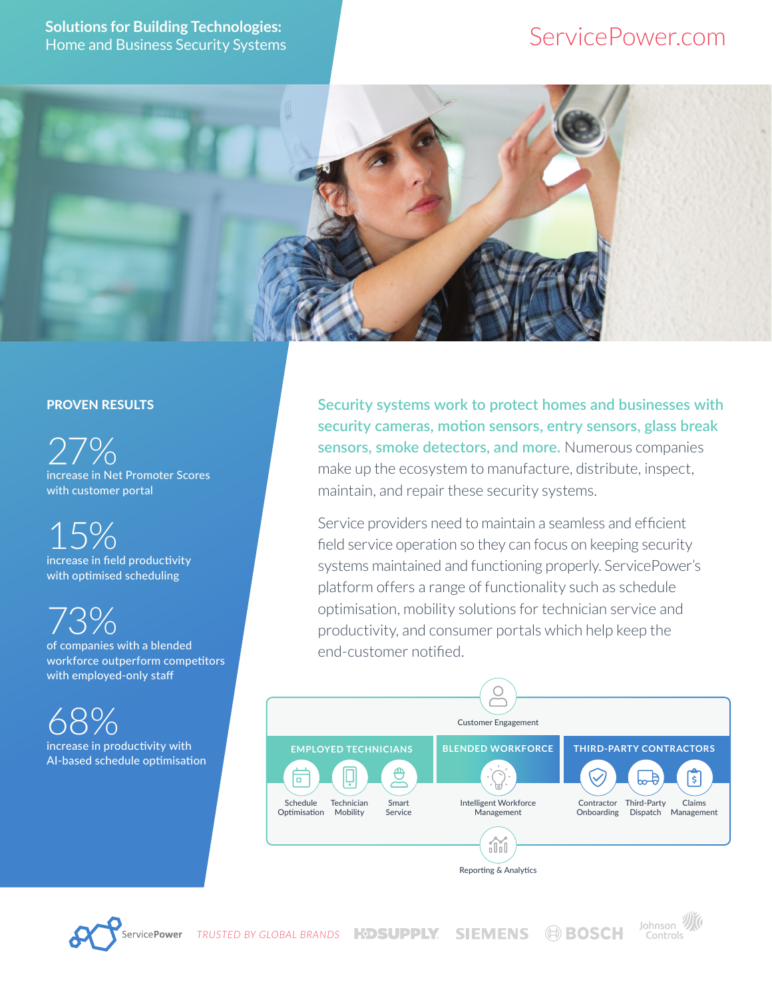# ServicePower.com



#### PROVEN RESULTS

27% increase in Net Promoter Scores with customer portal

15% increase in field productivity with optimised scheduling

73%

of companies with a blended workforce outperform competitors with employed-only staff

68% increase in productivity with AI-based schedule optimisation **Security systems work to protect homes and businesses with security cameras, motion sensors, entry sensors, glass break sensors, smoke detectors, and more.** Numerous companies make up the ecosystem to manufacture, distribute, inspect, maintain, and repair these security systems.

Service providers need to maintain a seamless and efficient field service operation so they can focus on keeping security systems maintained and functioning properly. ServicePower's platform offers a range of functionality such as schedule optimisation, mobility solutions for technician service and productivity, and consumer portals which help keep the end-customer notified.





Johnson VI **TRUSTED BY GLOBAL BRANDS KDSUPPLY SIEMENS @BOSCH** Controls